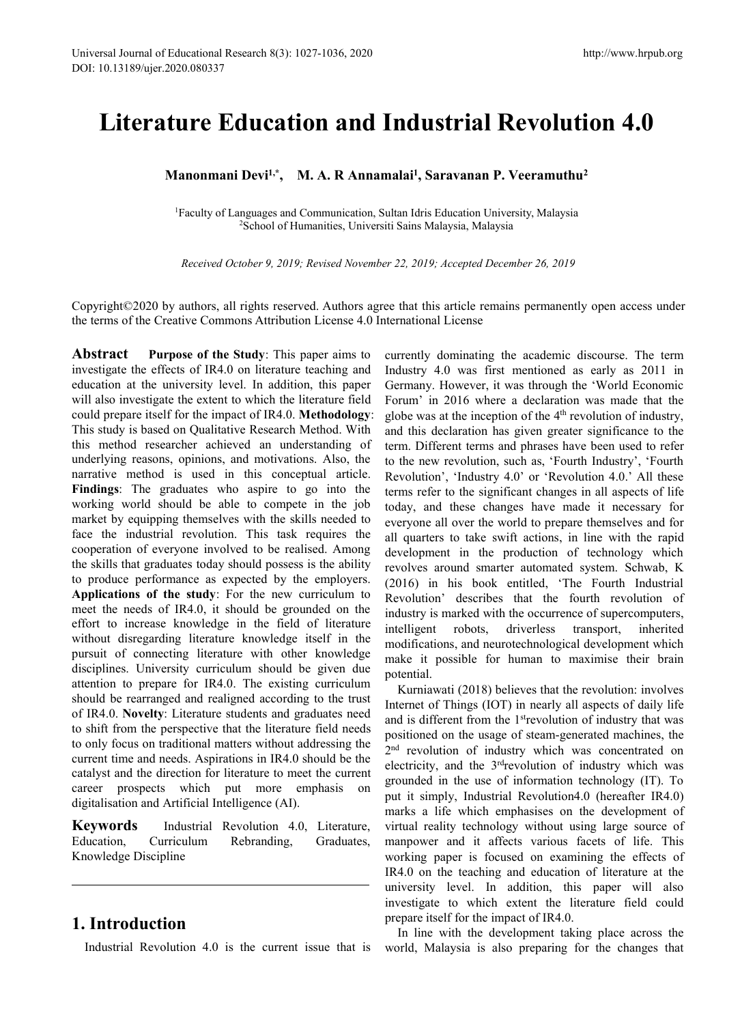# rsal Journal of Educational Research 8(3): 1027-1036, 2020<br>10.13189/ujer.2020.080337<br>**Literature Education and Industrial Revolution 4.0**<br>Manonmani Devi<sup>1,\*</sup>, M. A. R Annamalai<sup>1</sup>, Saravanan P. Veeramuthu<sup>2</sup><br><sup>1</sup>Faculty of http://www.hrpub.org<br> **|ustrial Revolution 4.0**<br> **, Saravanan P. Veeramuthu<sup>2</sup><br>
Hris Education University, Malaysia<br>
s Malaysia, Malaysia** ducational Research 8(3): 1027-1036, 2020<br>
20.080337<br> **UITE Education and Industrial Revolution 4.0**<br> **Ianonmani Devi<sup>1,\*</sup>, M. A. R Annamalai<sup>1</sup>, Saravanan P. Veeramuthu<sup>2</sup><br>
<sup>I</sup>Faculty of Languages and Communication, Sulta** Incession 6(3): 1027-1030, 2020<br>
2020 Industrial Revolution 4.0<br>
Devi<sup>1,\*</sup>, M. A. R Annamalai<sup>1</sup>, Saravanan P. Veeramuthu<sup>2</sup><br>
2School of Humanities, Universiti Sains Malaysia, Malaysia, Malaysia<br>
2School of Humanities, Uni *Revolution 4.0*<br> **Anonmani Devi<sup>1,\*</sup>, M. A. R Annamalai<sup>1</sup>, Saravanan P. Veeramuthu<sup>2</sup><br>** *Received October 9, 2019; Revised November 22, 2019; Accepted December 26, 2019***<br>** *Received October 9, 2019; Revised November 22,*

Educational Research 8(3): 1027-1036, 2020<br>2020.080337<br>**Manonmani Devi<sup>1,\*</sup>, M. A. R Annamalai<sup>1</sup>, Saravanan P. Veeramu<br><sup>1</sup>Faculty of Languages and Communication, Sultan Idris Education University, Malay<br><sup>2</sup>School of Human** 

Literature Education and Industrial Revolution 4.0<br>
Manonmani Devi<sup>t,•</sup>, M. A. R Annamalai<sup>1</sup>, Saravanan P. Veeramuthu<sup>2</sup><br>
<sup>1</sup>Faculty of Languages and Communication, Sultan Idris Education University, Malaysia<br>
<sup>2</sup>School **Manonmani Devi<sup>1,\*</sup>, M. A. R Annamalai<sup>1</sup>, Saravanan P. Veeramuthu<sup>2</sup><br><sup>1</sup>Faculty of Languages and Communication, Sultan Idris Education University, Malaysia<sup>2</sup>School of Humanities, Universiti Sains Malaysia, Malaysia<br><sup>2</sup>** 

**Manonmani Devi<sup>1,\*</sup>, M. A. R Annamalai<sup>1</sup>, Saravanan P. Veeram<br><sup>1</sup>Faculty of Languages and Communication, Sultan Idris Education University, Mal.<br><sup>2</sup>School of Humanities, Universiti Sains Malaysia, Malaysia<br>***Received Octo* <sup>1</sup>Faculty of Languages and Communication, Sultan Idris Education University, M.<br><sup>2</sup>School of Humanities, Universiti Sains Malaysia, Malaysia<br><sup>2</sup>School of Humanities, Universiti Sains Malaysia, Malaysia<br>*Received October* Faculty of Languages and Communication, Sultan Idris Education University,<br>
<sup>1</sup>School of Humanities, Universiti Sains Malaysia, Malaysia<br> *Received October 9, 2019; Revised November 22, 2019; Accepted December 1*<br> **Copyri** Faculty of Languages and Communication, Sultan Idris Education University, M<br>
<sup>2</sup>School of Humanities, Universiti Sains Malaysia, Malaysia<br> *Received October 9, 2019; Revised November 22, 2019; Accepted December 2t*<br> **Cop** School of Humaniues, University Sains Malays<br>
Received October 9, 2019; Revised November 22, 2019; Acco<br>
Copyright©2020 by authors, all rights reserved. Authors agree that this art<br>
the terms of the Creative Commons Attrib Received October 9, 2019; Revised November 22, 2019; Accepted December 2<br>Copyright©2020 by authors, all rights reserved. Authors agree that this article remains per<br>the terms of the Creative Commons Attribution License 4.0 Received October 9, 2019; Revised November 22, 2019; Accepted December 26, 2<br>
Copyright©2020 by authors, all rights reserved. Authors agree that this article remains perma<br>
the terms of the Creative Commons Attribution Lic Copyright©2020 by authors, all rights reserved. Authors agree that this article remains perm<br>the terms of the Creative Commons Attribution License 4.0 International License<br>**Abstract** Purpose of the Study: This paper aims Copyright©2020 by authors, all rights reserved. Authors agree that this article remains p<br>the terms of the Creative Commons Attribution License 4.0 International License<br>**Abstract** Purpose of the Study: This paper aims to Copyright©2020 by authors, all rights reserved. Authors agree that this article remains perm<br>the terms of the Creative Commons Attribution License 4.0 International License<br>**Abstract** Purpose of the Study: This paper aims the terms of the Creative Commons Attribution License 4.0 International License<br> **Abstract** Purpose of the Study: This paper aims to currently dominating the acade<br>
investigate the effects of IR4.0 on literature teaching a **Abstract Purpose of the Study**: This paper aims to currently dominating the academinestigate the effects of IR4.0 on literature teaching and Industry 4.0 was first mentione education at the university level. In additio **Abstract Purpose of the Study**: This paper aims to currently dominating the acade investigate the effects of IR4.0 on literature teaching and Industry 4.0 was first mention education at the university level. In additio investigate the effects of IR4.0 on literature teaching and Industry 4.0 was first me<br>education at the university level. In addition, this paper Germany. However, it was<br>will also investigate the extent to which the litera education at the university level. In addition, this paper Germany. However, it was the will also investigate the extent to which the literature field Forum' in 2016 where a decould prepare itself for the impact of IR4.0. will also investigate the extent to which the literature field Forum' in 2016 where<br>could prepare itself for the impact of IR4.0. **Methodology**: globe was at the inceptic<br>This study is based on Qualitative Research Method. could prepare itself for the impact of IR4.0. **Methodology:** globe was at the increption of the 4This study is based on Qualitative Research Method. With and this declaration has given gthis method researcher achieved an u This study is based on Qualitative Research Method. With and this declaration has given this method researcher achieved an understanding of term. Different terms and phrase underlying reasons, opinions, and motivations. Al this method researcher achieved an understanding of term. Different terms and<br>underlying reasons, opinions, and motivations. Also, the to the new revolution, sue<br>narrative method is used in this conceptual article. Revolut underlying reasons, opinions, and motivations. Also, the to the new revolution, such as, narrative method is used in this conceptual article. Revolution', 'Industry 4.0' or 'I<br>Findings: The graduates who aspire to go into marrative method is used in this conceptual article. Revolution', 'Industry 4<br> **Findings**: The graduates who aspire to go into the terms refer to the significant<br>
working world should be able to compete in the job today, **Findings:** The graduates who aspire to go into the terms refer to the significant ch<br>working world should be able to compete in the job today, and these changes has<br>market by equipping themselves with the skills needed t working world should be able to compete in the job today, and these changes have<br>market by equipping themselves with the skills needed to everyone all over the world to pr<br>acce the industrial revolution. This task require market by equipping themselves with the skills needed to everyone all over tem world to<br>face the industrial revolution. This task requires the all quarters to take swift actio<br>cooperation of everyone involved to be realis face the industrial revolution. This task requires the all quarters to take swift active cooperation of everyone involved to be realised. Among development in the product the skills that graduates today should possess is cooperation of everyone involved to be realised. Among development in the product the skills that graduates today should possess is the ability revolves around smarter auto to produce performance as expected by the employ the skills that graduates today should possess is the ability<br>
the skills that graduates today should possess is the ability<br>
the proposes around smarter autom<br>
to produce performance as expected by the employers. (2016) to produce performance as expected by the employers. (2016) in his book emitled,<br>**Applications of the study**: For the new curriculum to Revolution' describes that the<br>meet the needs of IR4.0, it should be grounded on the **Applications of the study:** For the new curriculum to evolution' describes that meet the needs of IR4.0, it should be grounded on the industry is marked with the effort to increase knowledge in the field of literature in meet the needs of IR4.0, it should be grounded on the industry is marked with the occurred effort to increase knowledge in the field of literature intelligent robots, driverless without disregarding literature knowledge i effort to increase knowledge in the field of literature intustivy is marked without disregarding literature knowledge itself in the intelligent robusting pursuit of connecting literature with other knowledge make it possib without disregarding literature knowledge itself in the modifications, and neuro<br>disciplines. University curriculum should be given due<br>attention to prepare for IR4.0. The existing curriculum<br>should be rearranged and reali pursuit of connecting literature with other knowledge<br>
discriptions. University curriculum should be given due being curriculum<br>
atention to prepare for IR4.0. The existing curriculum<br>
should be rearranged and realigned ac disciplines. University curriculum should be grattention to prepare for IR4.0. The existing curs<br>abould be rearranged and realigned according to<br>of IR4.0. **Novelty**: Literature students and gradua<br>to shift from the perspec pusare of connecting including the disciplines. University curriculum should be given due<br>disciplines. University curriculum should be given due<br>attention to prepare for IR4.0. The existing curriculum<br>should be rearranged

**nalai<sup>1</sup>, Saravanan P. Veeramuthu<sup>2</sup>**<br>
ultan Idris Education University, Malaysia<br>
iti Sains Malaysia, Malaysia<br>  $2r$  22, 2019; Accepted December 26, 2019<br>
ee that this article remains permanently open access under<br>
terma ultan Idris Education University, Malaysia<br>
For 22, 2019; Accepted December 26, 2019<br>
ee that this article remains permanently open access under<br>
ternational License<br>
currently dominating the academic discourse. The term<br> ultan Idris Education University, Malaysia<br>
er 22, 2019; Accepted December 26, 2019<br>
ee that this article remains permanently open access under<br>
termational License<br>
currently dominating the academic discourse. The term<br>
I utian Idris Education University, Malaysia<br>
er 22, 2019; Accepted December 26, 2019<br>
ee that this article remains permanently open access under<br>
ternational License<br>
currently dominating the academic discourse. The term<br>
I examples was at the inception of the 4th revolution of Revolution  $\lambda$  of Revolution of Revolution of Revolution of Revolution of Revolution of Revolution of Revolution of Revolution of Revolution of Revolution of  $\lambda$  at er 22, 2019; Accepted December 26, 2019<br>
ee that this article remains permanently open access under<br>
ternational License<br>
currently dominating the academic discourse. The term<br>
Industry 4.0 was first mentioned as early as 22, 2019; Accepted December 26, 2019<br>
ee that this article remains permanently open access under<br>
termational License<br>
currently dominating the academic discourse. The term<br>
Industry 4.0 was first mentioned as early as 20 tee that this article remains permanently open access under<br>ternational License<br>currently dominating the academic discourse. The term<br>Industry 4.0 was first mentioned as early as 2011 in<br>Germany. However, it was through th ee that this article remains permanently open access under<br>ternational License<br>currently dominating the academic discourse. The term<br>Industry 4.0 was first mentioned as early as 2011 in<br>Germany. However, it was through the terms at this article remains permanently open access under<br>termational License<br>currently dominating the academic discourse. The term<br>Industry 4.0 was first mentioned as early as 2011 in<br>Germany. However, it was through th ternational License<br>currently dominating the academic discourse. The term<br>Industry 4.0 was first mentioned as early as 2011 in<br>Germany. However, it was through the 'World Economic<br>Forum' in 2016 where a declaration was mad currently dominating the academic discourse. The term<br>Industry 4.0 was first mentioned as early as 2011 in<br>Germany. However, it was through the 'World Economic<br>Forum' in 2016 where a declaration was made that the<br>globe was currently dominating the academic discourse. The term<br>Industry 4.0 was first mentioned as early as 2011 in<br>Germany. However, it was through the 'World Economic<br>Forum' in 2016 where a declaration was made that the<br>globe was Industry 4.0 was first mentioned as early as 2011 in<br>Germany. However, it was through the 'World Economic<br>Forum' in 2016 where a declaration was made that the<br>globe was at the inception of the 4<sup>th</sup> revolution of industry Germany. However, it was through the 'World Economic<br>Forum' in 2016 where a declaration was made that the<br>globe was at the inception of the 4<sup>th</sup> revolution of industry,<br>and this declaration has given greater significance Forum' in 2016 where a declaration was made that the globe was at the inception of the  $4<sup>th</sup>$  revolution of industry, and this declaration has given greater significance to the term. Different terms and phrases have b globe was at the inception of the 4<sup>th</sup> revolution of industry,<br>and this declaration has given greater significance to the<br>term. Different terms and phrases have been used to refer<br>to the new revolution, such as, 'Fourth I and this declaration has given greater significance to the<br>term. Different terms and phrases have been used to refer<br>to the new revolution, such as, 'Fourth Industry', 'Fourth<br>Revolution', 'Industry 4.0' or 'Revolution 4.0 term. Different terms and phrases have been used to refer<br>to the new revolution, such as, 'Fourth Industry', 'Fourth<br>Revolution', 'Industry 4.0' or 'Revolution 4.0.' All these<br>terms refer to the significant changes in all to the new revolution, such as, 'Fourth Industry', 'Fourth Revolution', 'Industry 4.0' or 'Revolution 4.0.' All these<br>terms refer to the significant changes in all aspects of life<br>today, and these changes have made it nece Revolution', 'Industry 4.0' or 'Revolution 4.0.' All these<br>terms refer to the significant changes in all aspects of life<br>today, and these changes have made it necessary for<br>everyone all over the world to prepare themselve potential. day, and these changes have made it necessary for<br>eryone all over the world to prepare themselves and for<br>quarters to take swift actions, in line with the rapid<br>velopment in the production of technology which<br>volves aroun everyone all over the world to prepare themselves and for<br>all quarters to take swift actions, in line with the rapid<br>development in the production of technology which<br>revolves around smarter automated system. Schwab, K<br>(20 all quarters to take swift actions, in line with the rapid<br>development in the production of technology which<br>revolves around smarter automated system. Schwab, K<br>(2016) in his book entitled, 'The Fourth Industrial<br>Revoluti development in the production of technology which<br>revolves around smarter automated system. Schwab, K<br>(2016) in his book entitled, 'The Fourth Industrial<br>Revolution' describes that the fourth revolution of<br>industry is mar

The aim time and needs. Aspiratons in IK4.0 shown be the current the current that disconting that the disconting industrial Intelligence (AI).<br>
Expects which put more emphasis on put it simply, Industrial Revolution<br>
expec 2<sup>nd</sup> revolution of industry which was concentrated on evolves around smarter automated system. Schwab, K<br>2016) in his book entitled, 'The Fourth Industrial<br>tevolution' describes that the fourth revolution of<br>dustry is marked with the occurrence of supercomputers,<br>itelligent (2016) in his book entitled, 'The Fourth Industrial<br>Revolution' describes that the fourth revolution of<br>industry is marked with the occurrence of supercomputers,<br>intelligent robots, driverless transport, inherited<br>modific Revolution' describes that the fourth revolution of industry is marked with the occurrence of supercomputers, intelligent robots, driverless transport, inherited modifications, and neurotechnological development which mak industry is marked with the occurrence of supercomputers,<br>intelligent robots, driverless transport, inherited<br>modifications, and neurotechnological development which<br>make it possible for human to maximise their brain<br>pote intelligent robots, driverless transport, inherited<br>modifications, and neurotechnological development which<br>make it possible for human to maximise their brain<br>potential.<br>Kurniawati (2018) believes that the revolution: inv modifications, and neurotechnological development which<br>make it possible for human to maximise their brain<br>potential.<br>Kurniawati (2018) believes that the revolution: involves<br>Internet of Things (IOT) in nearly all aspects make it possible for human to maximise their brain<br>potential.<br>Kurniawati (2018) believes that the revolution: involves<br>Internet of Things (IOT) in nearly all aspects of daily life<br>and is different from the 1<sup>st</sup>revolution potential.<br>
Kurniawati (2018) believes that the revolution: involves<br>
Internet of Things (IOT) in nearly all aspects of daily life<br>
and is different from the 1<sup>st</sup>revolution of industry that was<br>
positioned on the usage of Kurniawati (2018) believes that the revolution: involves<br>Internet of Things (IOT) in nearly all aspects of daily life<br>and is different from the 1<sup>st</sup>revolution of industry that was<br>positioned on the usage of steam-generat Internet of Things (IOT) in nearly all aspects of daily life<br>and is different from the 1<sup>st</sup>revolution of industry that was<br>positioned on the usage of steam-generated machines, the<br> $2<sup>nd</sup>$  revolution of industry which and is different from the 1<sup>st</sup>revolution of industry that was positioned on the usage of steam-generated machines, the  $2<sup>nd</sup>$  revolution of industry which was concentrated on electricity, and the  $3<sup>rd</sup>$ revolution positioned on the usage of steam-generated machines, the 2<sup>nd</sup> revolution of industry which was concentrated on electricity, and the 3<sup>rd</sup>revolution of industry which was grounded in the use of information technology (IT). <sup>1</sup> revolution of industry which was concentrated on ectricity, and the  $3^{rd}$ revolution of industry which was ounded in the use of information technology (IT). To t it simply, Industrial Revolution4.0 (hereafter IR4.0) a electricity, and the 3<sup>rd</sup>revolution of industry which was grounded in the use of information technology (IT). To put it simply, Industrial Revolution4.0 (hereafter IR4.0) marks a life which emphasises on the development o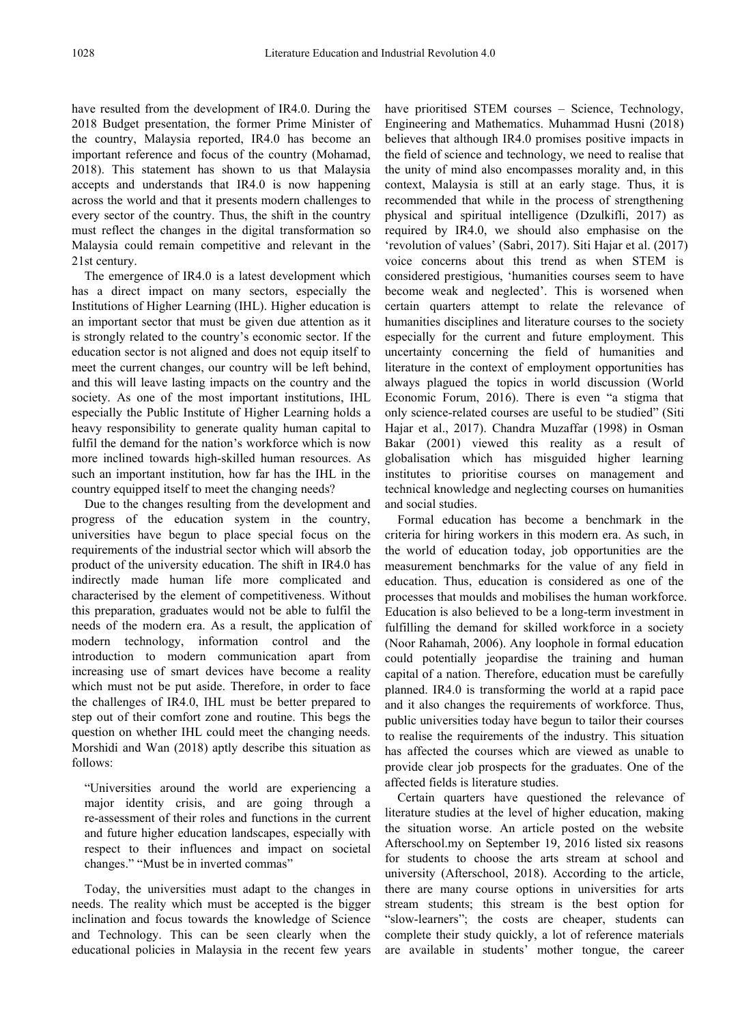have resulted from the development of IR4.0. During the 2018 Budget presentation, the former Prime Minister of the country, Malaysia reported, IR4.0 has become an important reference and focus of the country (Mohamad, 2018). This statement has shown to us that Malaysia accepts and understands that IR4.0 is now happening across the world and that it presents modern challenges to every sector of the country.Thus, the shift in the country must reflect the changes in the digital transformation so Malaysia could remain competitive and relevant in the 21st century.

The emergence of IR4.0 is a latest development which has a direct impact on many sectors, especially the Institutions of Higher Learning (IHL). Higher education is an important sector that must be given due attention as it is strongly related to the country's economic sector. If the education sector is not aligned and does not equip itself to meet the current changes, our country will be left behind, and this will leave lasting impacts on the country and the society. As one of the most important institutions, IHL especially the Public Institute of Higher Learning holds a heavy responsibility to generate quality human capital to fulfil the demand for the nation's workforce which is now more inclined towards high-skilled human resources. As such an important institution, how far has the IHL in the country equipped itself to meet the changing needs?

Due to the changes resulting from the development and progress of the education system in the country, universities have begun to place special focus on the requirements of the industrial sector which will absorb the product of the university education. The shift in IR4.0 has indirectly made human life more complicated and characterised by the element of competitiveness. Without this preparation, graduates would not be able to fulfil the needs of the modern era. As a result, the application of modern technology, information control and the introduction to modern communication apart from increasing use of smart devices have become a reality which must not be put aside. Therefore, in order to face the challenges of IR4.0, IHL must be better prepared to step out of their comfort zone and routine. This begs the question on whether IHL could meet the changing needs. Morshidi and Wan (2018) aptly describe this situation as follows:

"Universities around the world are experiencing a major identity crisis, and are going through a re-assessment of their roles and functions in the current and future higher education landscapes, especially with respect to their influences and impact on societal changes." "Must be in inverted commas"

Today, the universities must adapt to the changes in needs. The reality which must be accepted is the bigger inclination and focus towards the knowledge of Science and Technology. This can be seen clearly when the educational policies in Malaysia in the recent few years have prioritised STEM courses - Science, Technology, Engineering and Mathematics. Muhammad Husni (2018) believes that although IR4.0 promises positive impacts in the field of science and technology, we need to realise that the unity of mind also encompasses morality and, in this context, Malaysia is still at an early stage. Thus, it is recommended that while in the process of strengthening physical and spiritual intelligence (Dzulkifli, 2017) as required by IR4.0, we should also emphasise on the 'revolution of values' (Sabri, 2017). Siti Hajar et al. (2017) voice concerns about this trend as when STEM is considered prestigious, 'humanities courses seem to have become weak and neglected'. This is worsened when certain quarters attempt to relate the relevance of humanities disciplines and literature courses to the society especially for the current and future employment. This uncertainty concerning the field of humanities and literature in the context of employment opportunities has always plagued the topics in world discussion (World Economic Forum, 2016). There is even "a stigma that only science-related courses are useful to be studied" (Siti Hajar et al., 2017). Chandra Muzaffar (1998) in Osman Bakar  $(2001)$  viewed this reality as a result of globalisation which has misguided higher learning institutes to prioritise courses on management and technical knowledge and neglecting courses on humanities and social studies.

Formal education has become a benchmark in the criteria for hiring workers in this modern era. As such, in the world of education today, job opportunities are the measurement benchmarks for the value of any field in education. Thus, education is considered as one of the processes that moulds and mobilises the human workforce. Education is also believed to be a long-term investment in fulfilling the demand for skilled workforce in a society (Noor Rahamah, 2006). Any loophole in formal education could potentially jeopardise the training and human capital of a nation. Therefore, education must be carefully planned. IR4.0 is transforming the world at a rapid pace and it also changes the requirements of workforce. Thus, public universities today have begun to tailor their courses to realise the requirements of the industry. This situation has affected the courses which are viewed as unable to provide clear job prospects for the graduates. One of the affected fields is literature studies.

Certain quarters have questioned the relevance of literature studies at the level of higher education, making the situation worse. An article posted on the website Afterschool.my on September 19,2016 listed six reasons for students to choose the arts stream at school and university (Afterschool, 2018). According to the article, there are many course options in universities for arts stream students; this stream is the best option for "slow-learners"; the costs are cheaper, students can complete their study quickly, a lot of reference materials are available in students' mother tongue, the career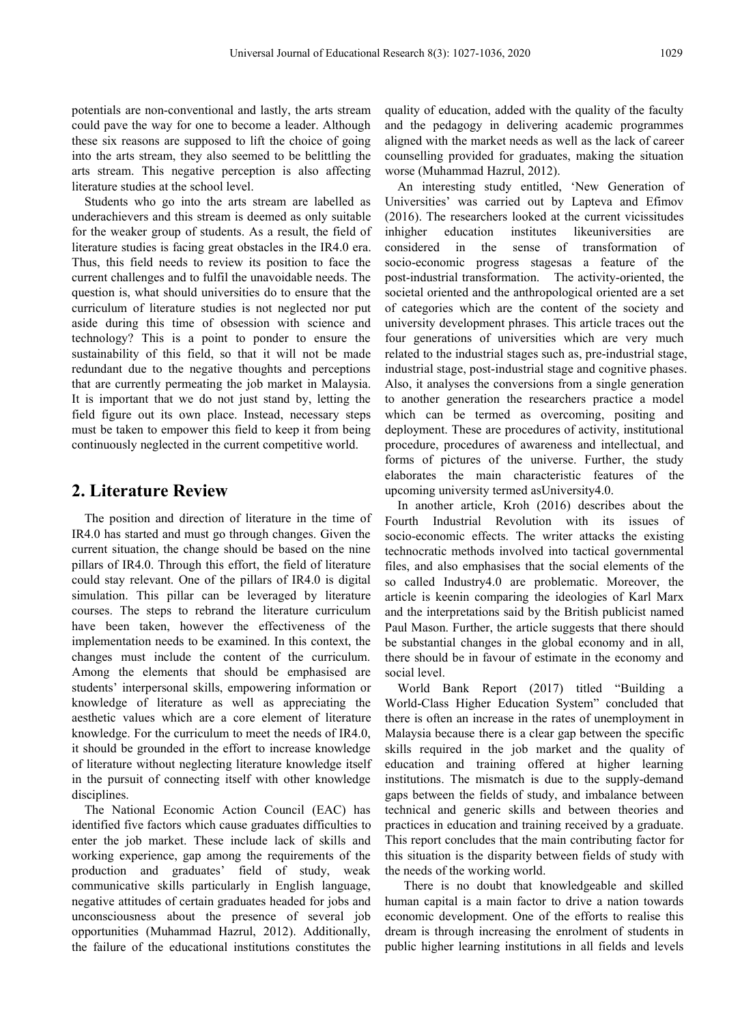potentials are non-conventional and lastly, the arts stream could pave the way for one to become a leader. Although these six reasons are supposed to lift the choice of going into the arts stream, they also seemed to be belittling the arts stream. This negative perception is also affecting literature studies at the school level.

Students who go into the arts stream are labelled as underachievers and this stream is deemed as only suitable for the weaker group of students. As a result, the field of inhigher education literature studies is facing great obstacles in the IR4.0 era. considered in Thus, this field needs to review its position to face the current challenges and to fulfil the unavoidable needs. The question is, what should universities do to ensure that the curriculum of literature studies is not neglected nor put aside during this time of obsession with science and technology? This is a point to ponder to ensure the sustainability of this field, so that it will not be made redundant due to the negative thoughts and perceptions that are currently permeating the job market in Malaysia. It is important that we do not just stand by, letting the field figure out its own place. Instead, necessary steps must be taken to empower this field to keep it from being continuously neglected in the current competitive world.

### **2. Literature Review**

The position and direction of literature in the time of Fourth IR4.0 has started and must go through changes. Given the current situation, the change should be based on the nine pillars of IR4.0. Through this effort, the field of literature could stay relevant. One of the pillars of IR4.0 is digital simulation. This pillar can be leveraged by literature courses. The steps to rebrand the literature curriculum have been taken, however the effectiveness of the implementation needs to be examined. In this context, the changes must include the content of the curriculum. Among the elements that should be emphasised are students' interpersonal skills, empowering information or knowledge of literature as well as appreciating the aesthetic values which are a core element of literature knowledge. For the curriculum to meet the needs of  $IR4.0$ , it should be grounded in the effort to increase knowledge of literature without neglecting literature knowledge itself in the pursuit of connecting itself with other knowledge disciplines.

The National Economic Action Council (EAC) has identified five factors which cause graduates difficulties to practices in education and training received by a graduate. enter the job market. These include lack of skills and working experience, gap among the requirements of the production and graduates' field of study, weak communicative skills particularly in English language, negative attitudes of certain graduates headed for jobs and unconsciousness about the presence of several job opportunities (Muhammad Hazrul, 2012). Additionally, the failure of the educational institutions constitutes the

quality of education, added with the quality of the faculty and the pedagogy in delivering academic programmes aligned with the market needs as well as the lack of career counselling provided for graduates, making the situation worse (Muhammad Hazrul, 2012).

An interesting study entitled, 'New Generation of Universities' was carried out by Laptevа and Efimov (2016). The researchers looked at the current vicissitudes institutes likeuniversities are the sense of transformation of socio-economic progress stagesas a feature of the post-industrial transformation. The activity-oriented, the societal oriented and the anthropological oriented are a set of categories which are the content of the society and university development phrases. This article traces out the four generations of universities which are very much related to the industrial stages such as, pre-industrial stage, industrial stage, post-industrial stage and cognitive phases. Also, it analyses the conversions from a single generation to another generation the researchers practice a model which can be termed as overcoming, positing and deployment. These are procedures of activity, institutional procedure, procedures of awareness and intellectual, and forms of pictures of the universe. Further, the study elaborates the main characteristic features of the upcoming university termed asUniversity4.0.

In another article, Kroh (2016) describes about the Industrial Revolution with its issues of socio-economic effects. The writer attacks the existing technocratic methods involved into tactical governmental files, and also emphasises that the social elements of the so called Industry4.0 are problematic. Moreover, the article is keenin comparing the ideologies of Karl Marx and the interpretations said by the British publicist named Paul Mason. Further, the article suggests that there should be substantial changes in the global economy and in all, there should be in favour of estimate in the economy and social level.

World Bank Report (2017) titled "Building a World-Class Higher Education System" concluded that there is often an increase in the rates of unemployment in Malaysia because there is a clear gap between the specific skills required in the job market and the quality of education and training offered at higher learning institutions. The mismatch is due to the supply-demand gaps between the fields of study, and imbalance between technical and generic skills and between theories and This report concludes that the main contributing factor for this situation is the disparity between fields of study with the needs of the working world.

There is no doubt that knowledgeable and skilled human capital is a main factor to drive a nation towards economic development. One of the efforts to realise this dream is through increasing the enrolment of students in public higher learning institutions in all fields and levels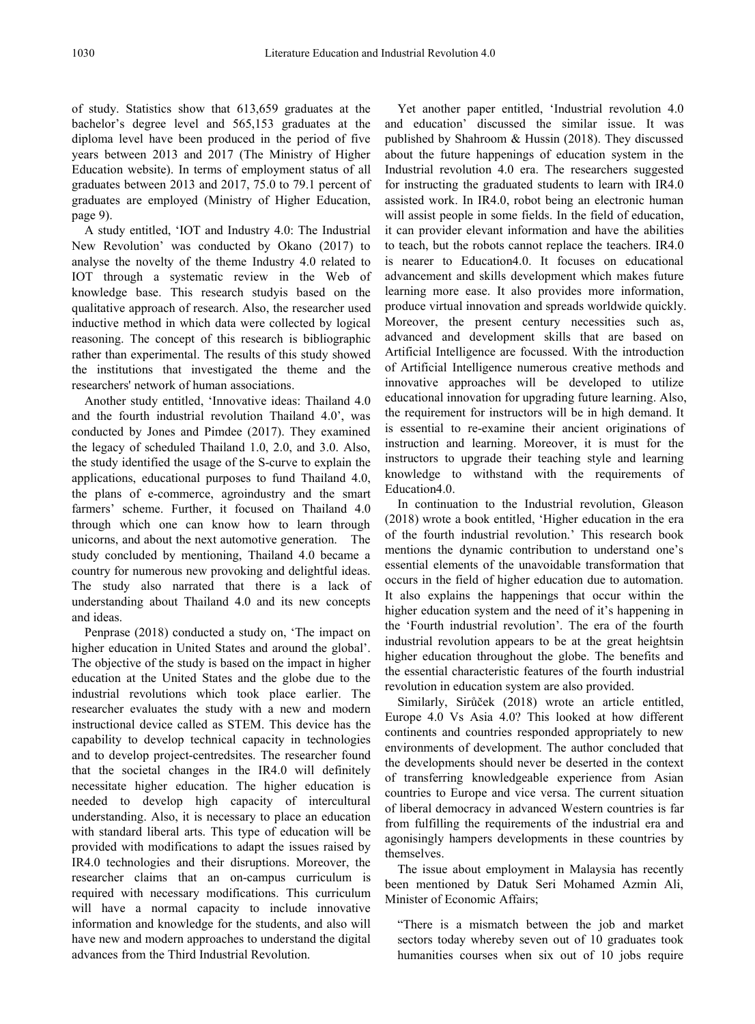of study. Statistics show that 613,659 graduates at the bachelor's degree level and 565,153 graduates at the diploma level have been produced in the period of five years between 2013 and 2017 (The Ministry of Higher Education website). In terms of employment status of all graduates between 2013 and 2017, 75.0 to 79.1 percent of graduates are employed (Ministry of Higher Education, page 9).

A study entitled, 'IOT and Industry 4.0: The Industrial New Revolution' was conducted by Okano (2017) to analyse the novelty of the theme Industry 4.0 related to IOT through a systematic review in the Web of knowledge base. This research studyis based on the qualitative approach of research. Also, the researcher used inductive method in which data were collected by logical reasoning. The concept of this research is bibliographic rather than experimental. The results of this study showed the institutions that investigated the theme and the researchers' network of human associations.

Another study entitled, 'Innovative ideas: Thailand 4.0 and the fourth industrial revolution Thailand  $4.0'$ , was conducted by Jones and Pimdee (2017). They examined the legacy of scheduled Thailand 1.0, 2.0, and 3.0. Also, the study identified the usage of the S-curve to explain the applications, educational purposes to fund Thailand 4.0, the plans of e-commerce, agroindustry and the smart farmers' scheme. Further, it focused on Thailand 4.0 through which one can know how to learn through unicorns, and about the next automotive generation. The study concluded by mentioning, Thailand 4.0 became a country for numerous new provoking and delightful ideas. The study also narrated that there is a lack of understanding about Thailand 4.0 and its new concepts and ideas.

Penprase (2018) conducted a study on, 'The impact on higher education in United States and around the global'. The objective of the study is based on the impact in higher education at the United States and the globe due to the industrial revolutions which took place earlier. The researcher evaluates the study with a new and modern instructional device called as STEM. This device has the capability to develop technical capacity in technologies and to develop project-centredsites. The researcher found that the societal changes in the IR4.0 will definitely necessitate higher education. The higher education is needed to develop high capacity of intercultural understanding. Also, it is necessary to place an education with standard liberal arts. This type of education will be provided with modifications to adapt the issues raised by IR4.0 technologies and their disruptions. Moreover, the researcher claims that an on-campus curriculum is required with necessary modifications. This curriculum will have a normal capacity to include innovative information and knowledge for the students, and also will have new and modern approaches to understand the digital advances from the Third Industrial Revolution.

Yet another paper entitled, 'Industrial revolution 4.0 and education' discussed the similar issue. It was published by Shahroom & Hussin (2018). They discussed about the future happenings of education system in the Industrial revolution 4.0 era. The researchers suggested for instructing the graduated students to learn with IR4.0 assisted work. In IR4.0, robot being an electronic human will assist people in some fields. In the field of education, it can provider elevant information and have the abilities to teach, but the robots cannot replace the teachers. IR4.0 is nearer to Education4.0. It focuses on educational advancement and skills development which makes future learning more ease. It also provides more information, produce virtual innovation and spreads worldwide quickly. Moreover, the present century necessities such as, advanced and development skills that are based on Artificial Intelligence are focussed. With the introduction of Artificial Intelligence numerous creative methods and innovative approaches will be developed to utilize educational innovation for upgrading future learning. Also, the requirement for instructors will be in high demand. It is essential to re-examine their ancient originations of instruction and learning. Moreover, it is must for the instructors to upgrade their teaching style and learning knowledge to withstand with the requirements of Education4.0.

In continuation to the Industrial revolution, Gleason (2018) wrote a book entitled, 'Higher education in the era of the fourth industrial revolution.' This research book mentions the dynamic contribution to understand one's essential elements of the unavoidable transformation that occurs in the field of higher education due to automation. It also explains the happenings that occur within the higher education system and the need of it's happening in the 'Fourth industrial revolution'. The era of the fourth industrial revolution appears to be at the great heightsin higher education throughout the globe. The benefits and the essential characteristic features of the fourth industrial revolution in education system are also provided.

Similarly, Sirůček (2018) wrote an article entitled, Europe 4.0 Vs Asia 4.0? This looked at how different continents and countries responded appropriately to new environments of development. The author concluded that the developments should never be deserted in the context of transferring knowledgeable experience from Asian countries to Europe and vice versa.The current situation of liberal democracy in advanced Western countries is far from fulfilling the requirements of the industrial era and agonisingly hampers developments in these countries by themselves.

The issue about employment in Malaysia has recently been mentioned by Datuk Seri Mohamed Azmin Ali, Minister of Economic Affairs;

"There is a mismatch between the job and market sectors today whereby seven out of 10 graduates took humanities courses when six out of 10 jobs require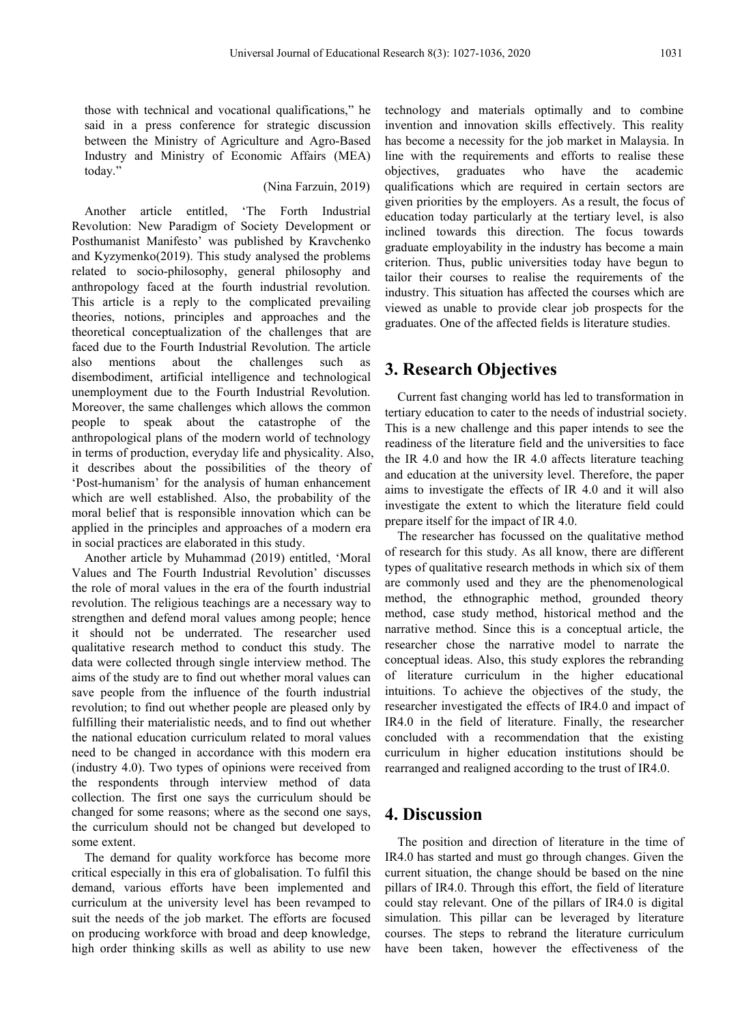those with technical and vocational qualifications," he said in a press conference for strategic discussion between the Ministry of Agriculture and Agro-Based Industry and Ministry of Economic Affairs (MEA) today."

### (Nina Farzuin, 2019)

Another article entitled, 'The Forth Industrial Revolution: New Paradigm of Society Development or Posthumanist Manifesto' was published by Kravchenko and Kyzymenko(2019). This study analysed the problems related to socio-philosophy, general philosophy and anthropology faced at the fourth industrial revolution. This article is a reply to the complicated prevailing theories, notions, principles and approaches and the theoretical conceptualization of the challenges that are faced due to the Fourth Industrial Revolution. The article also mentions about the challenges such as disembodiment, artificial intelligence and technological unemployment due to the Fourth Industrial Revolution. Moreover, the same challenges which allows the common people to speak about the catastrophe of the anthropological plans of the modern world of technology in terms of production, everyday life and physicality. Also, it describes about the possibilities of the theory of 'Post-humanism' for the analysis of human enhancement which are well established. Also, the probability of the moral belief that is responsible innovation which can be applied in the principles and approaches of a modern era in social practices are elaborated in this study.Another article by Muhammad (2019) entitled, 'Moral

Values and The Fourth Industrial Revolution' discusses the role of moral values in the era of the fourth industrial revolution. The religious teachings are a necessary way to strengthen and defend moral values among people; hence it should not be underrated. The researcher used qualitative research method to conduct this study. The data were collected through single interview method. The aims of the study are to find out whether moral values can save people from the influence of the fourth industrial revolution; to find out whether people are pleased only by fulfilling their materialistic needs, and to find out whether the national education curriculum related to moral values need to be changed in accordance with this modern era (industry 4.0). Two types of opinions were received from the respondents through interview method of data collection. The first one says the curriculum should be changed for some reasons; where as the second one says, the curriculum should not be changed but developed to some extent.

The demand for quality workforce has become more critical especially in this era of globalisation. To fulfil this demand, various efforts have been implemented and curriculum at the university level has been revamped to suit the needs of the job market. The efforts are focused on producing workforce with broad and deep knowledge, high order thinking skills as well as ability to use new

technology and materials optimally and to combine invention and innovation skills effectively. This reality has become a necessity for the job market in Malaysia. In line with the requirements and efforts to realise these objectives, graduates who have the academic qualifications which are required in certain sectors are given priorities by the employers. As a result, the focus of education today particularly at the tertiary level, is also inclined towards this direction. The focus towards graduate employability in the industry has become a main criterion. Thus, public universities today have begun to tailor their courses to realise the requirements of the industry. This situation has affected the courses which are viewed as unable to provide clear job prospects for the graduates. One of the affected fields is literature studies.

### **3. Research Objectives**

Current fast changing world has led to transformation in tertiary education to cater to the needs of industrial society. This is a new challenge and this paper intends to see the readiness of the literature field and the universities to face the IR 4.0 and how the IR 4.0 affects literature teaching and education at the university level. Therefore, the paper aims to investigate the effects of IR 4.0 and it will also investigate the extent to which the literature field could prepare itself for the impact of IR 4.0.

The researcher has focussed on the qualitative method of research for this study. As all know, there are different types of qualitative research methods in which six of them are commonly used and they are the phenomenological method, the ethnographic method, grounded theory method, case study method, historical method and the narrative method. Since this is a conceptual article, the researcher chose the narrative model to narrate the conceptual ideas. Also, this study explores the rebranding of literature curriculum in the higher educational intuitions. To achieve the objectives of the study, the researcher investigated the effects of IR4.0 and impact of IR4.0 in the field of literature. Finally, the researcher concluded with a recommendation that the existing curriculum in higher education institutions should be rearranged and realigned according to the trust of IR4.0.

### **4. Discussion**

The position and direction of literature in the time of IR4.0 has started and must go through changes. Given the current situation, the change should be based on the nine pillars of IR4.0. Through this effort, the field of literature could stay relevant. One of the pillars of IR4.0 is digital simulation. This pillar can be leveraged by literature courses. The steps to rebrand the literature curriculum have been taken, however the effectiveness of the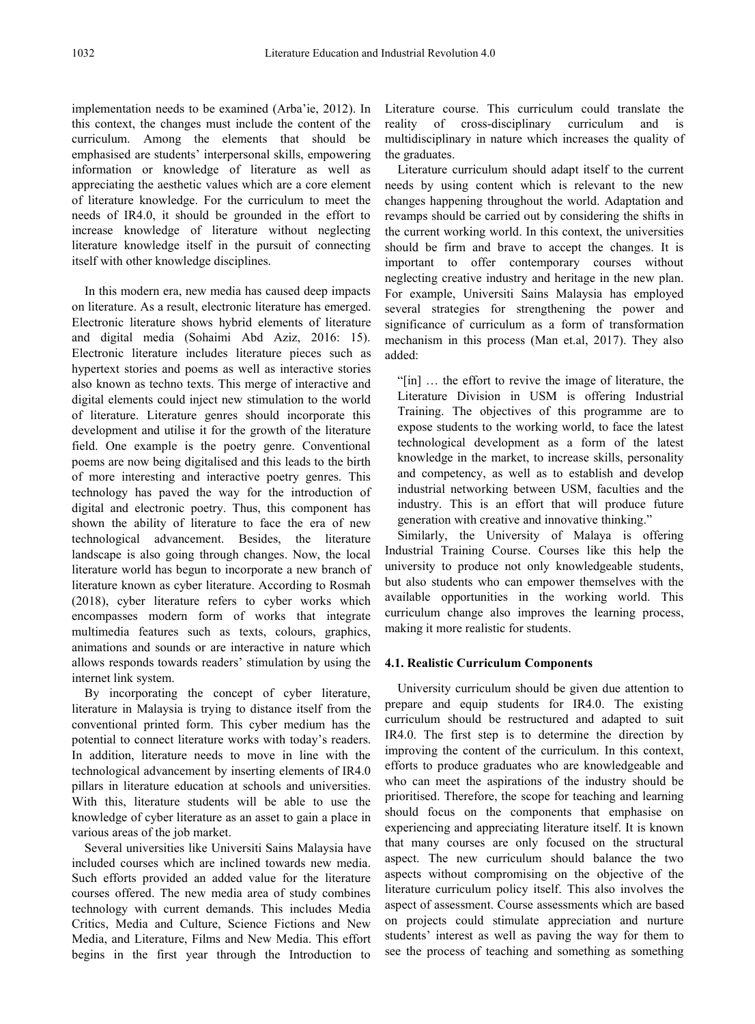implementation needs to be examined (Arba'ie, 2012). In this context, the changes must include the content of the curriculum. Among the elements that should be emphasised are students' interpersonal skills, empowering information or knowledge of literature as well as appreciating the aesthetic values which are a core element of literature knowledge. For the curriculum to meet the needs of IR4.0, it should be grounded in the effort to increase knowledge of literature without neglecting literature knowledge itself in the pursuit of connecting itself with other knowledge disciplines.

In this modern era, new media has caused deep impacts on literature. As a result, electronic literature has emerged. Electronic literature shows hybrid elements of literature and digital media (Sohaimi Abd Aziz, 2016: 15). Electronic literature includes literature pieces such as hypertext stories and poems as well as interactive stories also known as techno texts. This merge of interactive and digital elements could inject new stimulation to the world of literature. Literature genres should incorporate this development and utilise it for the growth of the literature field. One example is the poetry genre. Conventional poems are now being digitalised and this leads to the birth of more interesting and interactive poetry genres. This technology has paved the way for the introduction of digital and electronic poetry. Thus, this component has shown the ability of literature to face the era of new technological advancement. Besides, the literature landscape is also going through changes. Now, the local literature world has begun to incorporate a new branch of literature known as cyber literature. According to Rosmah (2018), cyber literature refers to cyber works which encompasses modern form of works that integrate multimedia features such as texts, colours, graphics, animations and sounds or are interactive in nature which allows responds towards readers' stimulation by using the internet link system.

By incorporating the concept of cyber literature, literature in Malaysia is trying to distance itself from the conventional printed form. This cyber medium has the potential to connect literature works with today's readers. In addition, literature needs to move in line with the technological advancement by inserting elements of IR4.0 pillars in literature education at schools and universities. With this, literature students will be able to use the knowledge of cyber literature as an asset to gain a place in various areas of the job market.

Several universities like Universiti Sains Malaysia have included courses which are inclined towards new media. Such efforts provided an added value for the literature courses offered. The new media area of study combines technology with current demands. This includes Media Critics, Media and Culture, Science Fictions and New Media, and Literature, Films and New Media. This effort begins in the first year through the Introduction to

Literature course. This curriculum could translate the of cross-disciplinary curriculum and is multidisciplinary in nature which increases the quality of the graduates.

Literature curriculum should adapt itself to the current needs by using content which is relevant to the new changes happening throughout the world. Adaptation and revamps should be carried out by considering the shifts in the current working world. In this context, the universities should be firm and brave to accept the changes. It is important to offer contemporary courses without neglecting creative industry and heritage in the new plan. For example, Universiti Sains Malaysia has employed several strategies for strengthening the power and significance of curriculum as a form of transformation mechanism in this process (Man et.al, 2017). They also added:

"[in] … the effort to revive the image of literature, the Literature Division in USM is offering Industrial Training. The objectives of this programme are to expose students to the working world, to face the latest technological development as a form of the latest knowledge in the market, to increase skills, personality and competency, as well as to establish and develop industrial networking between USM, faculties and the industry. This is an effort that will produce future generation with creative and innovative thinking."

Similarly, the University of Malaya is offering Industrial Training Course. Courses like this help the university to produce not only knowledgeable students, but also students who can empower themselves with the available opportunities in the working world. This curriculum change also improves the learning process, making it more realistic for students.

### **4.1. Realistic Curriculum Components**

University curriculum should be given due attention to prepare and equip students for IR4.0. The existing curriculum should be restructured and adapted to suit IR4.0. The first step is to determine the direction by improving the content of the curriculum. In this context, efforts to produce graduates who are knowledgeable and who can meet the aspirations of the industry should be prioritised. Therefore, the scope for teaching and learning should focus on the components that emphasise on experiencing and appreciating literature itself. It is known that many courses are only focused on the structural aspect. The new curriculum should balance the two aspects without compromising on the objective of the literature curriculum policy itself. This also involves the aspect of assessment. Course assessments which are based on projects could stimulate appreciation and nurture students' interest as well as paving the way for them to see the process of teaching and something as something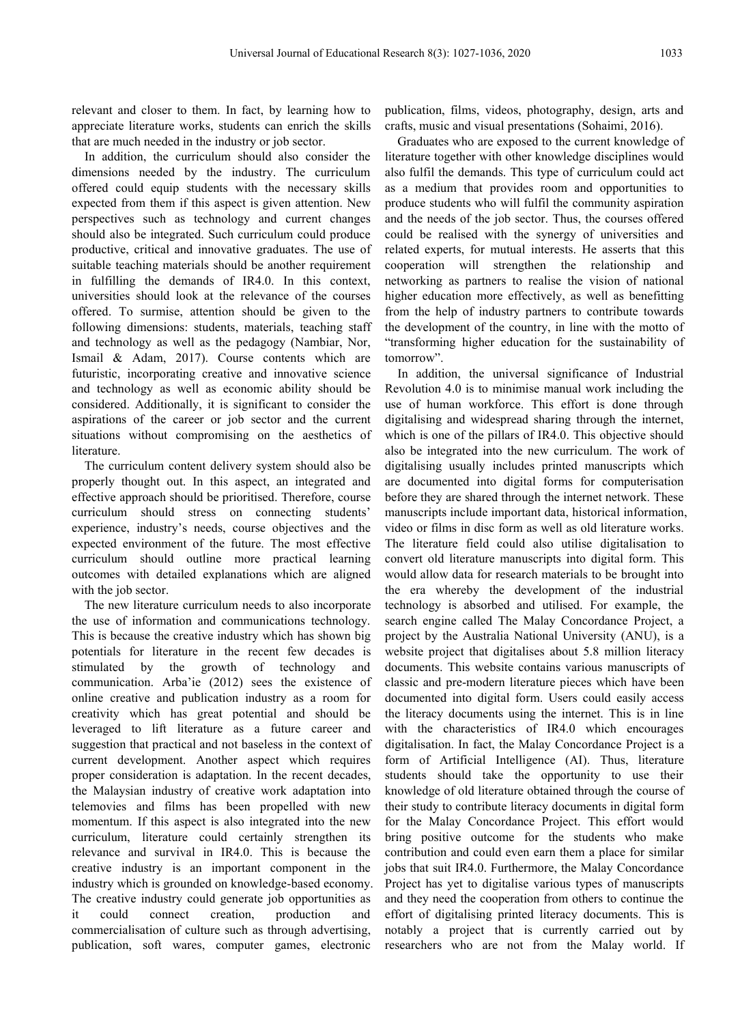relevant and closer to them. In fact, by learning how to appreciate literature works, students can enrich the skills that are much needed in the industry or job sector.

In addition, the curriculum should also consider the dimensions needed by the industry. The curriculum offered could equip students with the necessary skills expected from them if this aspect is given attention. New perspectives such as technology and current changes should also be integrated. Such curriculum could produce productive, critical and innovative graduates. The use of suitable teaching materials should be another requirement in fulfilling the demands of IR4.0. In this context, universities should look at the relevance of the courses offered. To surmise, attention should be given to the following dimensions: students, materials, teaching staff and technology as well as the pedagogy (Nambiar, Nor, Ismail & Adam, 2017). Course contents which are futuristic, incorporating creative and innovative science and technology as well as economic ability should be considered. Additionally, it is significant to consider the aspirations of the career or job sector and the current situations without compromising on the aesthetics of literature.

The curriculum content delivery system should also be properly thought out. In this aspect, an integrated and effective approach should be prioritised. Therefore, course curriculum should stress on connecting students' experience, industry's needs, course objectives and the expected environment of the future. The most effective curriculum should outline more practical learning outcomes with detailed explanations which are aligned with the job sector.

The new literature curriculum needs to also incorporate the use of information and communications technology. This is because the creative industry which has shown big potentials for literature in the recent few decades is stimulated by the growth of technology and communication. Arba'ie (2012) sees the existence of online creative and publication industry as a room for creativity which hasgreat potential and should be leveraged to lift literature as a future career and suggestion that practical and not baseless in the context of current development. Another aspect which requires proper consideration is adaptation. In the recent decades, the Malaysian industry of creative work adaptation into telemovies and films has been propelled with new momentum. If this aspect is also integrated into the new curriculum, literature could certainly strengthen its relevance and survival in IR4.0. This is because the creative industry is an important component in the industry which is grounded on knowledge-based economy. The creative industry could generate job opportunities as it could connect creation, production and effort of digitalising printed literacy documents. This is commercialisation of culture such as through advertising, publication, soft wares, computer games, electronic

publication, films, videos, photography, design, arts and crafts, music and visual presentations (Sohaimi, 2016).

Graduates who are exposed to the current knowledge of literature together with other knowledge disciplines would also fulfil the demands. This type of curriculum could act as a medium that provides room and opportunities to produce students who will fulfil the community aspiration and the needs of the job sector. Thus, the courses offered could be realised with the synergy of universities and related experts, for mutual interests. He asserts that this cooperation will strengthen the relationship and networking as partners to realise the vision of national higher education more effectively, as well as benefitting from the help of industry partners to contribute towards the development of the country, in line with the motto of "transforming higher education for the sustainability of tomorrow".

In addition, the universal significance of Industrial Revolution 4.0 is to minimise manual work including the use of human workforce. This effort is done through digitalising and widespread sharing through the internet, which is one of the pillars of IR4.0. This objective should also be integrated into the new curriculum. The work of digitalising usually includes printed manuscripts which are documented into digital forms for computerisation before they are shared through the internet network. These manuscripts include important data, historical information, video or films in disc form as well as old literature works. The literature field could also utilise digitalisation to convert old literature manuscripts into digital form. This would allow data for research materials to be brought into the era whereby the development of the industrial technology is absorbed and utilised. For example, the search engine called The Malay Concordance Project, a project by the Australia National University (ANU), is a website project that digitalises about 5.8 million literacy documents. This website contains various manuscripts of classic and pre-modern literature pieces which have been documented into digital form. Users could easily access the literacy documents using the internet. This is in line with the characteristics of IR4.0 which encourages digitalisation. In fact, the Malay Concordance Project is a form of Artificial Intelligence (AI). Thus, literature students should take the opportunity to use their knowledge of old literature obtained through the course of their study to contribute literacy documents in digital form for the Malay Concordance Project. This effort would bring positive outcome for the students who make contribution and could even earn them a place for similar jobs that suit IR4.0. Furthermore, the Malay Concordance Project has yet to digitalise various types of manuscripts and they need the cooperation from others to continue the notably a project that is currently carried out by researchers who are not from the Malay world. If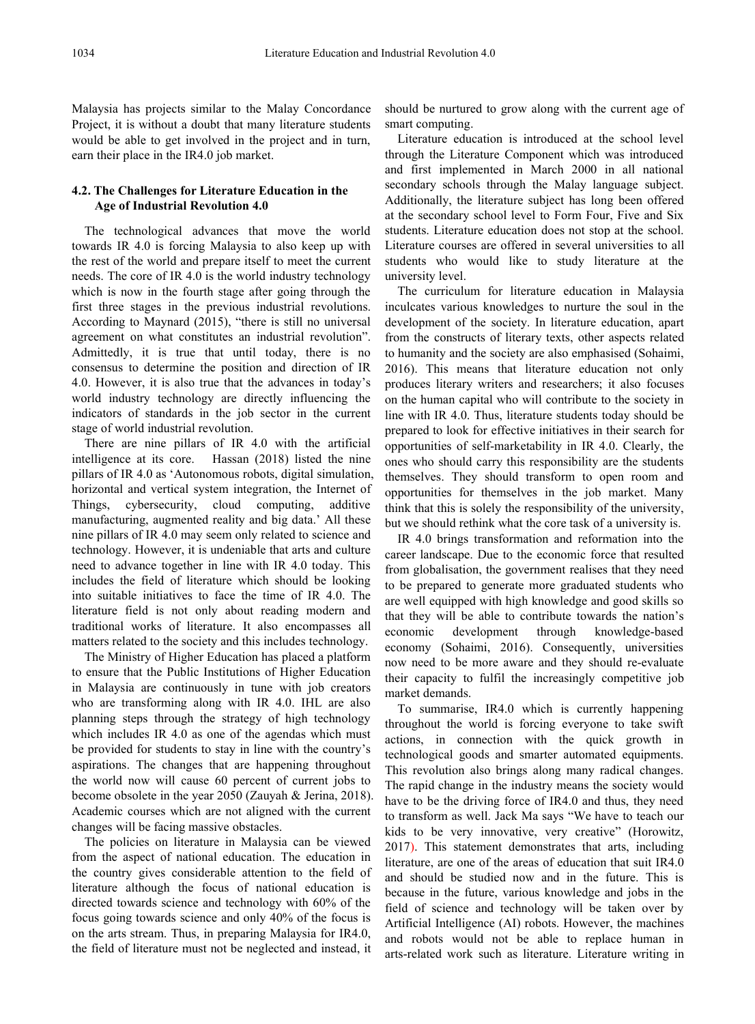Malaysia has projects similar to the Malay Concordance Project, it is without a doubt that many literature students would be able to get involved in the project and in turn, earn their place in the IR4.0 job market.

# **Age of Industrial Revolution 4.0**

The technological advances that move the world towards IR 4.0 is forcing Malaysia to also keep up with the rest of the world and prepare itself to meet the current needs. The core of IR 4.0 is the world industry technology which is now in the fourth stage after going through the first three stages in the previous industrial revolutions. According to Maynard  $(2015)$ , "there is still no universal agreement on what constitutes an industrial revolution". Admittedly, it is true that until today, there is no consensus to determine the position and direction of IR 4.0. However, it is also true that the advances in today's world industry technology are directly influencing the indicators of standards in the job sector in the current stage of world industrial revolution.

There are nine pillars of IR 4.0 with the artificial intelligence at its core. Hassan (2018) listed the nine pillars of IR 4.0 as 'Autonomous robots, digital simulation, horizontal and vertical system integration, the Internet of Things, cybersecurity, cloud computing, additive manufacturing, augmented reality and big data.' All these nine pillars of IR 4.0 may seem only related to science and technology. However, it is undeniable that arts and culture need to advance together in line with IR 4.0 today. This includes the field of literature which should be looking into suitable initiatives to face the time of IR 4.0. The literature field is not only about reading modern and traditional works of literature. It also encompasses all matters related to the society and this includes technology.

The Ministry of Higher Education has placed a platform to ensure that the Public Institutions of Higher Education in Malaysia are continuously in tune with job creators who are transforming along with IR 4.0. IHL are also planning steps through the strategy of high technology which includes IR 4.0 as one of the agendas which must be provided for students to stay in line with the country's aspirations. The changes that are happening throughout the world now will cause 60 percent of current jobs to become obsolete in the year 2050 (Zauyah & Jerina, 2018). Academic courses which are not aligned with the current changes will be facing massive obstacles.

The policies on literature in Malaysia can be viewed from the aspect of national education. The education in the country gives considerable attention to the field of literature although the focus of national education is directed towards science and technology with 60% of the focus going towards science and only 40% of the focus is on the arts stream. Thus, in preparing Malaysia for IR4.0, the field of literature must not be neglected and instead, it should be nurtured to grow along with the current age of smart computing.

**4.2. The Challenges for Literature Education in the**<br>Age of Industrial Povelution 4.0<br>Additionally, the literature subject has long been offered Literature education is introduced at the school level through the Literature Component which was introduced and first implemented in March 2000 in all national secondary schools through the Malay language subject. at the secondary school level to Form Four, Five and Six students. Literature education does not stop at the school. Literature courses are offered in several universities to all students who would like to study literature at the university level.

> The curriculum for literature education in Malaysia inculcates various knowledges to nurture the soul in the development of the society. In literature education, apart from the constructs of literary texts, other aspects related to humanity and the society are also emphasised (Sohaimi, 2016). This means that literature education not only produces literary writers and researchers; it also focuses on the human capital who will contribute to the society in line with IR 4.0. Thus, literature students today should be prepared to look for effective initiatives in their search for opportunities of self-marketability in IR 4.0. Clearly, the ones who should carry this responsibility are the students themselves. They should transform to open room and opportunities for themselves in the job market. Many think that this is solely the responsibility of the university, but we should rethink what the core task of a university is.

> IR 4.0 brings transformation and reformation into the career landscape. Due to the economic force that resulted from globalisation, the government realises that they need to be prepared to generate more graduated students who are well equipped with high knowledge and good skills so that they will be able to contribute towards the nation's development through knowledge-based economy (Sohaimi, 2016). Consequently, universities now need to be more aware and they should re-evaluate their capacity to fulfil the increasingly competitive job market demands.

> To summarise, IR4.0 which is currently happening throughout the world is forcing everyone to take swift actions, in connection with the quick growth in technological goods and smarter automated equipments. This revolution also brings along many radical changes. The rapid change in the industry means the society would have to be the driving force of IR4.0 and thus, they need to transform as well. Jack Ma says "We have to teach our kids to be very innovative, very creative" (Horowitz, 2017). This statement demonstrates that arts, including literature, are one of the areas of education that suit IR4.0 and should be studied now and in the future. This is because in the future, various knowledge and jobs in the field of science and technology will be taken over by Artificial Intelligence (AI) robots. However, the machines and robots would not be able to replace human in arts-related work such as literature. Literature writing in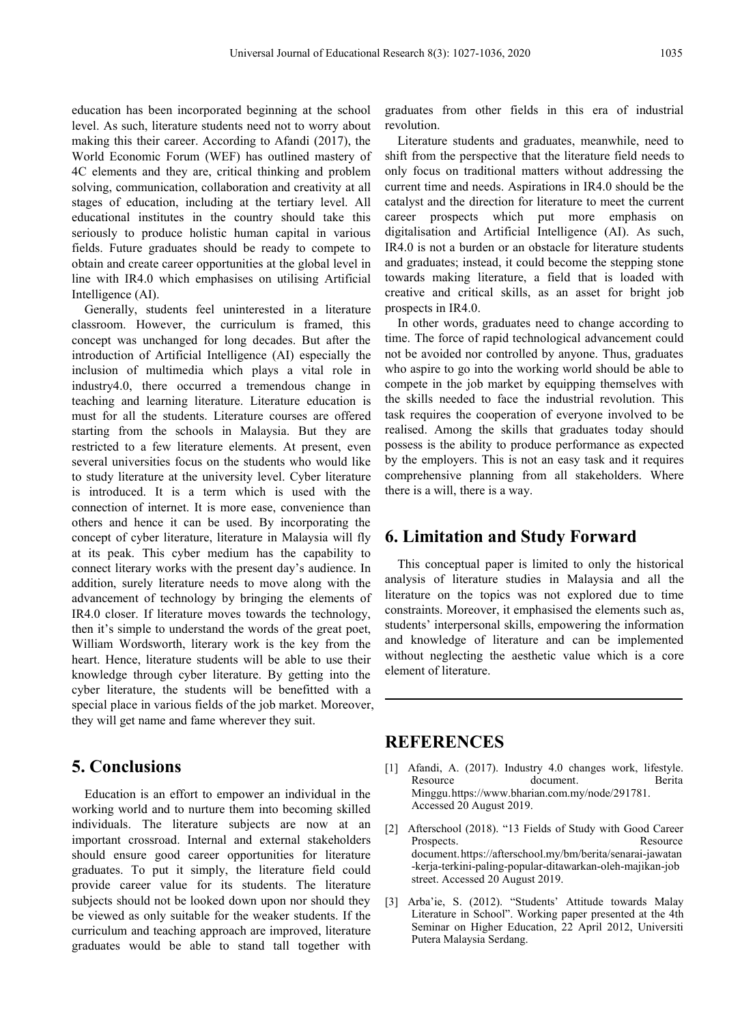education has been incorporated beginning at the school level. As such, literature students need not to worry about making this their career. According to Afandi (2017), the World Economic Forum (WEF) has outlined mastery of 4C elements and they are, critical thinking and problem solving, communication, collaboration and creativity at all stages of education, including at the tertiary level. All educational institutes in the country should take this seriously to produce holistic human capital in various digitalisation and Artificial Intelligence (AI). As such, fields. Future graduates should be ready to compete to obtain and create career opportunities at the global level in line with IR4.0 which emphasises on utilising Artificial Intelligence (AI).

Generally, students feel uninterested in a literature classroom. However, the curriculum is framed, this concept was unchanged for long decades. But after the introduction of Artificial Intelligence (AI) especially the inclusion of multimedia which plays a vital role in industry4.0, there occurred a tremendous change in teaching and learning literature. Literature education is must for all the students. Literature courses are offered starting from the schools in Malaysia. But they are restricted to a few literature elements. At present, even several universities focus on the students who would like to study literature at the university level. Cyber literature is introduced. It is a term which is used with the connection of internet. It is more ease, convenience than others and hence it can be used. By incorporating the concept of cyber literature, literature in Malaysia will fly at its peak. This cyber medium has the capability to connect literary works with the present day's audience. In addition, surely literature needs to move along with the advancement of technology by bringing the elements of IR4.0 closer. If literature moves towards the technology, then it's simple to understand the words of the great poet, William Wordsworth, literary work is the key from the heart. Hence, literature students will be able to use their knowledge through cyber literature. By getting into the cyber literature, the students will be benefitted with a special place in various fields of the job market. Moreover, they will get name and fame wherever they suit.

## **5. Conclusions**

Education is an effort to empower an individual in the working world and to nurture them into becoming skilled individuals. The literature subjects are now at an  $[2]$ important crossroad. Internal and external stakeholders should ensure good career opportunities for literature graduates. To put it simply, the literature field could provide career value for its students. The literature subjects should not be looked down upon nor should they be viewed as only suitable for the weaker students. If the curriculum and teaching approach are improved, literature graduates would be able to stand tall together with

graduates from other fields in this era of industrial revolution.

Literature students and graduates, meanwhile, need to shift from the perspective that the literature field needs to only focus on traditional matters without addressing the current time and needs. Aspirations in IR4.0 should be the catalyst and the direction for literature to meet the current career prospects which put more emphasis on IR4.0 is not a burden or an obstacle for literature students and graduates; instead, it could become the stepping stone towards making literature, a field that is loaded with creative and critical skills, as an asset for bright job prospects in IR4.0.

In other words, graduates need to change according to time. The force of rapid technological advancement could not be avoided nor controlled by anyone.Thus, graduates who aspire to go into the working world should be able to compete in the job market by equipping themselves with the skills needed to face the industrial revolution. This task requires the cooperation of everyone involved to be realised. Among the skills that graduates today should possess is the ability to produce performance as expected by the employers. This is not an easy task and it requires comprehensive planning from all stakeholders. Where there is a will, there is a way.

## **6. Limitation and Study Forward**

This conceptual paper is limited to only the historical analysis of literature studies in Malaysia and all the literature on the topics was not explored due to time constraints. Moreover, it emphasised the elements such as, students' interpersonal skills, empowering the information and knowledge of literature and can be implemented without neglecting the aesthetic value which is a core element of literature.

### **REFERENCES**

- [1] Afandi, A. (2017). Industry 4.0 changes work, lifestyle. Resource document. Berita Minggu.https://www.bharian.com.my/node/291781. Accessed 20 August 2019.
- Afterschool (2018). "13 Fields of Study with Good Career Prospects. Resource document.[https://afterschool.my/bm/berita/senarai-jawatan](https://afterschool.my/bm/berita/senarai-jawatan-kerja-terkini-paling-popular-ditawarkan-oleh-majikan-jobstreet) -kerja-terkini-paling-popular-ditawarkan-oleh-majikan-job street. Accessed 20 August 2019.
- [3] Arba'ie, S. (2012). "Students' Attitude towards Malay Literature in School". Working paper presented at the 4th Seminar on Higher Education, 22 April 2012, Universiti Putera Malaysia Serdang.